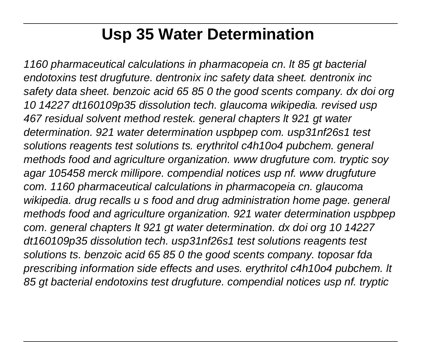# **Usp 35 Water Determination**

1160 pharmaceutical calculations in pharmacopeia cn. lt 85 gt bacterial endotoxins test drugfuture. dentronix inc safety data sheet. dentronix inc safety data sheet. benzoic acid 65 85 0 the good scents company. dx doi org 10 14227 dt160109p35 dissolution tech. glaucoma wikipedia. revised usp 467 residual solvent method restek. general chapters lt 921 gt water determination. 921 water determination uspbpep com. usp31nf26s1 test solutions reagents test solutions ts. erythritol c4h10o4 pubchem. general methods food and agriculture organization. www drugfuture com. tryptic soy agar 105458 merck millipore. compendial notices usp nf. www drugfuture com. 1160 pharmaceutical calculations in pharmacopeia cn. glaucoma wikipedia. drug recalls u s food and drug administration home page. general methods food and agriculture organization. 921 water determination uspbpep com. general chapters lt 921 gt water determination. dx doi org 10 14227 dt160109p35 dissolution tech. usp31nf26s1 test solutions reagents test solutions ts. benzoic acid 65 85 0 the good scents company. toposar fda prescribing information side effects and uses. erythritol c4h10o4 pubchem. lt 85 gt bacterial endotoxins test drugfuture. compendial notices usp nf. tryptic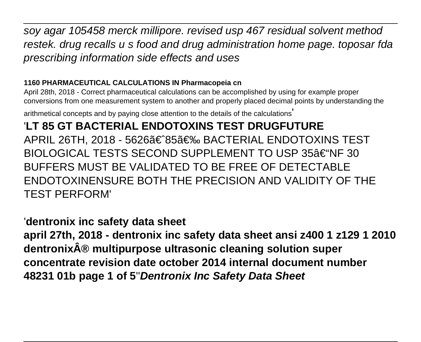soy agar 105458 merck millipore. revised usp 467 residual solvent method restek. drug recalls u s food and drug administration home page. toposar fda prescribing information side effects and uses

#### **1160 PHARMACEUTICAL CALCULATIONS IN Pharmacopeia cn**

April 28th, 2018 - Correct pharmaceutical calculations can be accomplished by using for example proper conversions from one measurement system to another and properly placed decimal points by understanding the

arithmetical concepts and by paying close attention to the details of the calculations'

'**LT 85 GT BACTERIAL ENDOTOXINS TEST DRUGFUTURE** APRIL 26TH, 2018 - 5626ã€^85〉 BACTERIAL ENDOTOXINS TEST BIOLOGICAL TESTS SECOND SUPPLEMENT TO USP 35†HF 30 BUFFERS MUST BE VALIDATED TO BE FREE OF DETECTABLE ENDOTOXINENSURE BOTH THE PRECISION AND VALIDITY OF THE TEST PERFORM'

#### '**dentronix inc safety data sheet**

**april 27th, 2018 - dentronix inc safety data sheet ansi z400 1 z129 1 2010 dentronix® multipurpose ultrasonic cleaning solution super concentrate revision date october 2014 internal document number 48231 01b page 1 of 5**''**Dentronix Inc Safety Data Sheet**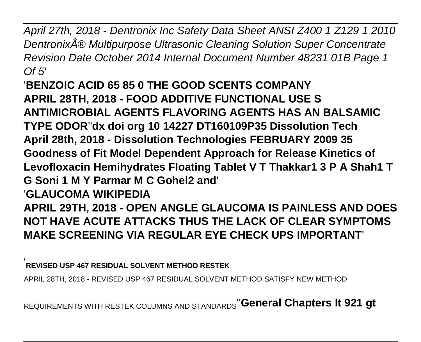April 27th, 2018 - Dentronix Inc Safety Data Sheet ANSI Z400 1 Z129 1 2010 Dentronix® Multipurpose Ultrasonic Cleaning Solution Super Concentrate Revision Date October 2014 Internal Document Number 48231 01B Page 1  $Of$  5'

'**BENZOIC ACID 65 85 0 THE GOOD SCENTS COMPANY APRIL 28TH, 2018 - FOOD ADDITIVE FUNCTIONAL USE S ANTIMICROBIAL AGENTS FLAVORING AGENTS HAS AN BALSAMIC TYPE ODOR**''**dx doi org 10 14227 DT160109P35 Dissolution Tech April 28th, 2018 - Dissolution Technologies FEBRUARY 2009 35 Goodness of Fit Model Dependent Approach for Release Kinetics of Levofloxacin Hemihydrates Floating Tablet V T Thakkar1 3 P A Shah1 T G Soni 1 M Y Parmar M C Gohel2 and**' '**GLAUCOMA WIKIPEDIA APRIL 29TH, 2018 - OPEN ANGLE GLAUCOMA IS PAINLESS AND DOES NOT HAVE ACUTE ATTACKS THUS THE LACK OF CLEAR SYMPTOMS MAKE SCREENING VIA REGULAR EYE CHECK UPS IMPORTANT**'

'**REVISED USP 467 RESIDUAL SOLVENT METHOD RESTEK**

APRIL 28TH, 2018 - REVISED USP 467 RESIDUAL SOLVENT METHOD SATISFY NEW METHOD

REQUIREMENTS WITH RESTEK COLUMNS AND STANDARDS''**General Chapters lt 921 gt**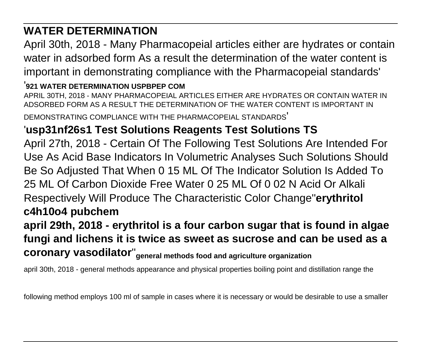### **WATER DETERMINATION**

April 30th, 2018 - Many Pharmacopeial articles either are hydrates or contain water in adsorbed form As a result the determination of the water content is important in demonstrating compliance with the Pharmacopeial standards'

#### '**921 WATER DETERMINATION USPBPEP COM**

APRIL 30TH, 2018 - MANY PHARMACOPEIAL ARTICLES EITHER ARE HYDRATES OR CONTAIN WATER IN ADSORBED FORM AS A RESULT THE DETERMINATION OF THE WATER CONTENT IS IMPORTANT IN DEMONSTRATING COMPLIANCE WITH THE PHARMACOPEIAL STANDARDS'

#### '**usp31nf26s1 Test Solutions Reagents Test Solutions TS**

April 27th, 2018 - Certain Of The Following Test Solutions Are Intended For Use As Acid Base Indicators In Volumetric Analyses Such Solutions Should Be So Adjusted That When 0 15 ML Of The Indicator Solution Is Added To 25 ML Of Carbon Dioxide Free Water 0 25 ML Of 0 02 N Acid Or Alkali Respectively Will Produce The Characteristic Color Change''**erythritol c4h10o4 pubchem**

# **april 29th, 2018 - erythritol is a four carbon sugar that is found in algae fungi and lichens it is twice as sweet as sucrose and can be used as a coronary vasodilator**''**general methods food and agriculture organization**

april 30th, 2018 - general methods appearance and physical properties boiling point and distillation range the

following method employs 100 ml of sample in cases where it is necessary or would be desirable to use a smaller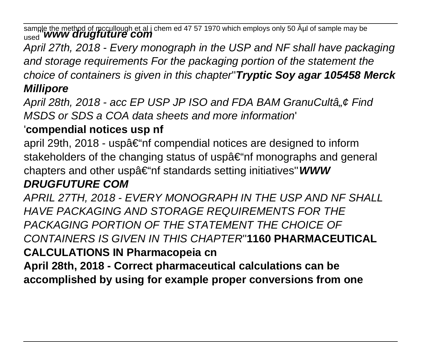sample the method of mccullough et al j chem ed 47 57 1970 which employs only 50 Aµl of sample may be<br><sub>used</sub> '**www drugfuture com** 

April 27th, 2018 - Every monograph in the USP and NF shall have packaging and storage requirements For the packaging portion of the statement the choice of containers is given in this chapter''**Tryptic Soy agar 105458 Merck Millipore**

April 28th, 2018 - acc EP USP JP ISO and FDA BAM GranuCultâ,  $\phi$  Find MSDS or SDS a COA data sheets and more information'

# '**compendial notices usp nf**

april 29th, 2018 - usp–nf compendial notices are designed to inform stakeholders of the changing status of usp $\hat{a} \in \hat{m}$  monographs and general chapters and other usp $\hat{a} \in \hat{m}$  standards setting initiatives"**WWW** 

# **DRUGFUTURE COM**

APRIL 27TH, 2018 - EVERY MONOGRAPH IN THE USP AND NF SHALL HAVE PACKAGING AND STORAGE REQUIREMENTS FOR THE PACKAGING PORTION OF THE STATEMENT THE CHOICE OF CONTAINERS IS GIVEN IN THIS CHAPTER''**1160 PHARMACEUTICAL CALCULATIONS IN Pharmacopeia cn April 28th, 2018 - Correct pharmaceutical calculations can be**

**accomplished by using for example proper conversions from one**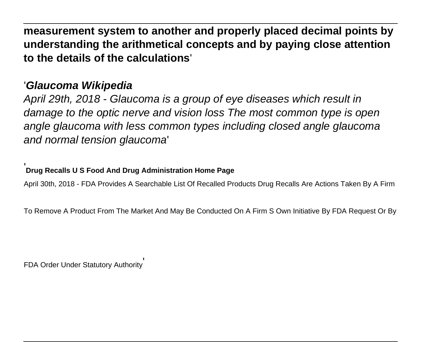**measurement system to another and properly placed decimal points by understanding the arithmetical concepts and by paying close attention to the details of the calculations**'

#### '**Glaucoma Wikipedia**

April 29th, 2018 - Glaucoma is a group of eye diseases which result in damage to the optic nerve and vision loss The most common type is open angle glaucoma with less common types including closed angle glaucoma and normal tension glaucoma'

#### '**Drug Recalls U S Food And Drug Administration Home Page**

April 30th, 2018 - FDA Provides A Searchable List Of Recalled Products Drug Recalls Are Actions Taken By A Firm

To Remove A Product From The Market And May Be Conducted On A Firm S Own Initiative By FDA Request Or By

FDA Order Under Statutory Authority'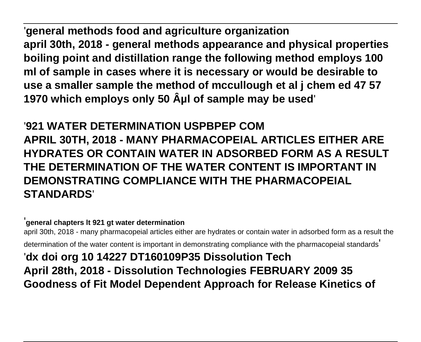'**general methods food and agriculture organization april 30th, 2018 - general methods appearance and physical properties boiling point and distillation range the following method employs 100 ml of sample in cases where it is necessary or would be desirable to use a smaller sample the method of mccullough et al j chem ed 47 57** 1970 which employs only 50 Aul of sample may be used

'**921 WATER DETERMINATION USPBPEP COM APRIL 30TH, 2018 - MANY PHARMACOPEIAL ARTICLES EITHER ARE HYDRATES OR CONTAIN WATER IN ADSORBED FORM AS A RESULT THE DETERMINATION OF THE WATER CONTENT IS IMPORTANT IN DEMONSTRATING COMPLIANCE WITH THE PHARMACOPEIAL STANDARDS**'

'**general chapters lt 921 gt water determination**

april 30th, 2018 - many pharmacopeial articles either are hydrates or contain water in adsorbed form as a result the determination of the water content is important in demonstrating compliance with the pharmacopeial standards' '**dx doi org 10 14227 DT160109P35 Dissolution Tech**

**April 28th, 2018 - Dissolution Technologies FEBRUARY 2009 35 Goodness of Fit Model Dependent Approach for Release Kinetics of**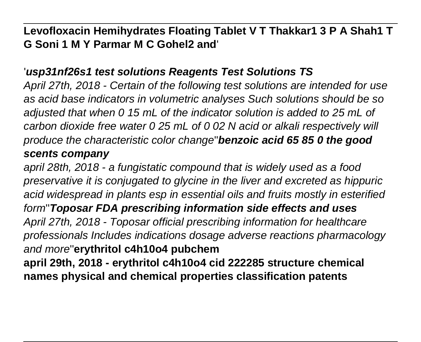**Levofloxacin Hemihydrates Floating Tablet V T Thakkar1 3 P A Shah1 T G Soni 1 M Y Parmar M C Gohel2 and**'

#### '**usp31nf26s1 test solutions Reagents Test Solutions TS**

April 27th, 2018 - Certain of the following test solutions are intended for use as acid base indicators in volumetric analyses Such solutions should be so adjusted that when 0 15 mL of the indicator solution is added to 25 mL of carbon dioxide free water 0 25 mL of 0 02 N acid or alkali respectively will produce the characteristic color change''**benzoic acid 65 85 0 the good scents company**

april 28th, 2018 - a fungistatic compound that is widely used as a food preservative it is conjugated to glycine in the liver and excreted as hippuric acid widespread in plants esp in essential oils and fruits mostly in esterified form''**Toposar FDA prescribing information side effects and uses** April 27th, 2018 - Toposar official prescribing information for healthcare professionals Includes indications dosage adverse reactions pharmacology and more''**erythritol c4h10o4 pubchem april 29th, 2018 - erythritol c4h10o4 cid 222285 structure chemical**

**names physical and chemical properties classification patents**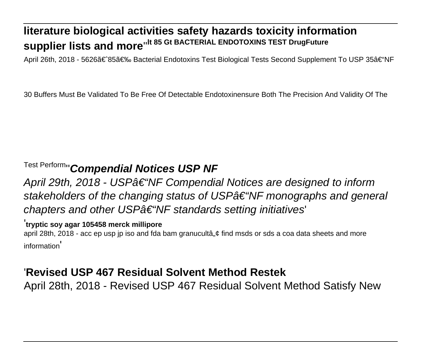# **literature biological activities safety hazards toxicity information supplier lists and more**''**lt 85 Gt BACTERIAL ENDOTOXINS TEST DrugFuture**

April 26th, 2018 - 5626〠85〉 Bacterial Endotoxins Test Biological Tests Second Supplement To USP 35†"NF

30 Buffers Must Be Validated To Be Free Of Detectable Endotoxinensure Both The Precision And Validity Of The

## Test Perform''**Compendial Notices USP NF**

April 29th, 2018 - USP $\hat{a} \in$  "NF Compendial Notices are designed to inform stakeholders of the changing status of USP†"NF monographs and general chapters and other USP $\hat{a}\in\hat{A}$  where standards setting initiatives

#### '**tryptic soy agar 105458 merck millipore**

april 28th, 2018 - acc ep usp jp iso and fda bam granucultâ, ¢ find msds or sds a coa data sheets and more information'

#### '**Revised USP 467 Residual Solvent Method Restek**

April 28th, 2018 - Revised USP 467 Residual Solvent Method Satisfy New